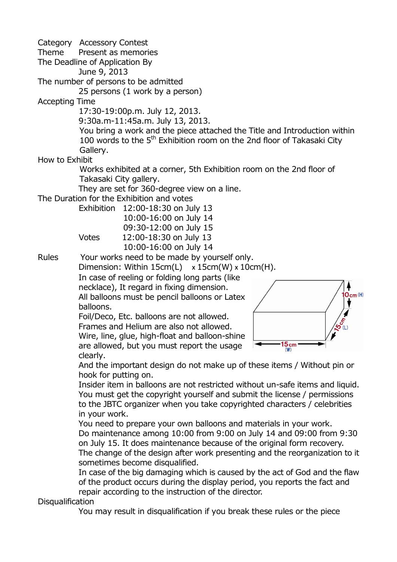Category Accessory Contest Theme Present as memories The Deadline of Application By June 9, 2013 The number of persons to be admitted 25 persons (1 work by a person) Accepting Time 17:30-19:00p.m. July 12, 2013. 9:30a.m-11:45a.m. July 13, 2013. You bring a work and the piece attached the Title and Introduction within 100 words to the  $5<sup>th</sup>$  Exhibition room on the 2nd floor of Takasaki City Gallery. How to Exhibit Works exhibited at a corner, 5th Exhibition room on the 2nd floor of Takasaki City gallery. They are set for 360-degree view on a line. The Duration for the Exhibition and votes Exhibition 12:00-18:30 on July 13 10:00-16:00 on July 14 09:30-12:00 on July 15 Votes 12:00-18:30 on July 13 10:00-16:00 on July 14 Rules Your works need to be made by yourself only. Dimension: Within  $15cm(L) \times 15cm(W) \times 10cm(H)$ . In case of reeling or folding long parts (like necklace), It regard in fixing dimension.  $O<sub>cm</sub>(H)$ All balloons must be pencil balloons or Latex balloons. Foil/Deco, Etc. balloons are not allowed. Frames and Helium are also not allowed. Wire, line, glue, high-float and balloon-shine  $15cm$  (W) are allowed, but you must report the usage clearly. And the important design do not make up of these items / Without pin or hook for putting on. Insider item in balloons are not restricted without un-safe items and liquid. You must get the copyright yourself and submit the license / permissions to the JBTC organizer when you take copyrighted characters / celebrities in your work. You need to prepare your own balloons and materials in your work. Do maintenance among 10:00 from 9:00 on July 14 and 09:00 from 9:30 on July 15. It does maintenance because of the original form recovery. The change of the design after work presenting and the reorganization to it sometimes become disqualified. In case of the big damaging which is caused by the act of God and the flaw of the product occurs during the display period, you reports the fact and repair according to the instruction of the director.

**Disqualification** 

You may result in disqualification if you break these rules or the piece